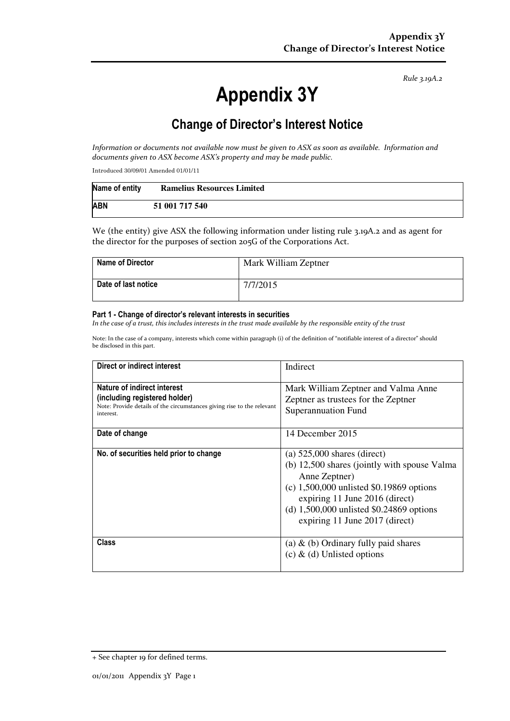Rule 3.19A.2

# Appendix 3Y

# Change of Director's Interest Notice

Information or documents not available now must be given to ASX as soon as available. Information and documents given to ASX become ASX's property and may be made public.

Introduced 30/09/01 Amended 01/01/11

| Name of entity | <b>Ramelius Resources Limited</b> |
|----------------|-----------------------------------|
| <b>ABN</b>     | 51 001 717 540                    |

We (the entity) give ASX the following information under listing rule 3.19A.2 and as agent for the director for the purposes of section 205G of the Corporations Act.

| <b>Name of Director</b> | Mark William Zeptner |
|-------------------------|----------------------|
| Date of last notice     | 7/7/2015             |

#### Part 1 - Change of director's relevant interests in securities

In the case of a trust, this includes interests in the trust made available by the responsible entity of the trust

Note: In the case of a company, interests which come within paragraph (i) of the definition of "notifiable interest of a director" should be disclosed in this part.

| Direct or indirect interest                                                                                                                         | Indirect                                                                                                                                                                                                                                                       |  |
|-----------------------------------------------------------------------------------------------------------------------------------------------------|----------------------------------------------------------------------------------------------------------------------------------------------------------------------------------------------------------------------------------------------------------------|--|
| Nature of indirect interest<br>(including registered holder)<br>Note: Provide details of the circumstances giving rise to the relevant<br>interest. | Mark William Zeptner and Valma Anne<br>Zeptner as trustees for the Zeptner<br><b>Superannuation Fund</b>                                                                                                                                                       |  |
| Date of change                                                                                                                                      | 14 December 2015                                                                                                                                                                                                                                               |  |
| No. of securities held prior to change                                                                                                              | (a) $525,000$ shares (direct)<br>(b) 12,500 shares (jointly with spouse Valma<br>Anne Zeptner)<br>(c) $1,500,000$ unlisted \$0.19869 options<br>expiring 11 June 2016 (direct)<br>(d) $1,500,000$ unlisted \$0.24869 options<br>expiring 11 June 2017 (direct) |  |
| <b>Class</b>                                                                                                                                        | (a) $\&$ (b) Ordinary fully paid shares<br>(c) & (d) Unlisted options                                                                                                                                                                                          |  |

<sup>+</sup> See chapter 19 for defined terms.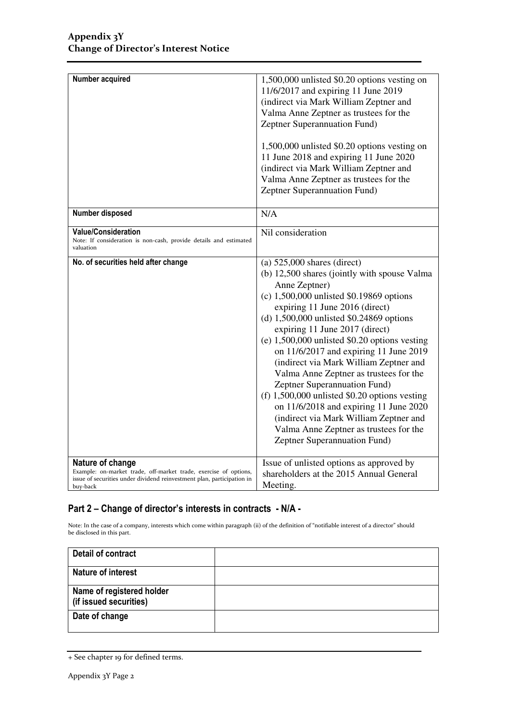| Number acquired                                                                                                                                                            | 1,500,000 unlisted \$0.20 options vesting on<br>11/6/2017 and expiring 11 June 2019<br>(indirect via Mark William Zeptner and<br>Valma Anne Zeptner as trustees for the<br>Zeptner Superannuation Fund)                                                                                                                                                                                                                                                                                                                                                                                                                                                                                          |
|----------------------------------------------------------------------------------------------------------------------------------------------------------------------------|--------------------------------------------------------------------------------------------------------------------------------------------------------------------------------------------------------------------------------------------------------------------------------------------------------------------------------------------------------------------------------------------------------------------------------------------------------------------------------------------------------------------------------------------------------------------------------------------------------------------------------------------------------------------------------------------------|
|                                                                                                                                                                            | 1,500,000 unlisted \$0.20 options vesting on<br>11 June 2018 and expiring 11 June 2020<br>(indirect via Mark William Zeptner and<br>Valma Anne Zeptner as trustees for the<br>Zeptner Superannuation Fund)                                                                                                                                                                                                                                                                                                                                                                                                                                                                                       |
| Number disposed                                                                                                                                                            | N/A                                                                                                                                                                                                                                                                                                                                                                                                                                                                                                                                                                                                                                                                                              |
| <b>Value/Consideration</b><br>Note: If consideration is non-cash, provide details and estimated<br>valuation                                                               | Nil consideration                                                                                                                                                                                                                                                                                                                                                                                                                                                                                                                                                                                                                                                                                |
| No. of securities held after change                                                                                                                                        | $(a)$ 525,000 shares (direct)<br>(b) 12,500 shares (jointly with spouse Valma<br>Anne Zeptner)<br>(c) $1,500,000$ unlisted \$0.19869 options<br>expiring 11 June 2016 (direct)<br>(d) $1,500,000$ unlisted \$0.24869 options<br>expiring 11 June 2017 (direct)<br>(e) $1,500,000$ unlisted \$0.20 options vesting<br>on 11/6/2017 and expiring 11 June 2019<br>(indirect via Mark William Zeptner and<br>Valma Anne Zeptner as trustees for the<br>Zeptner Superannuation Fund)<br>(f) $1,500,000$ unlisted \$0.20 options vesting<br>on 11/6/2018 and expiring 11 June 2020<br>(indirect via Mark William Zeptner and<br>Valma Anne Zeptner as trustees for the<br>Zeptner Superannuation Fund) |
| Nature of change<br>Example: on-market trade, off-market trade, exercise of options,<br>issue of securities under dividend reinvestment plan, participation in<br>buy-back | Issue of unlisted options as approved by<br>shareholders at the 2015 Annual General<br>Meeting.                                                                                                                                                                                                                                                                                                                                                                                                                                                                                                                                                                                                  |

### Part 2 – Change of director's interests in contracts - N/A -

Note: In the case of a company, interests which come within paragraph (ii) of the definition of "notifiable interest of a director" should be disclosed in this part.

| Detail of contract                                  |  |
|-----------------------------------------------------|--|
| <b>Nature of interest</b>                           |  |
| Name of registered holder<br>(if issued securities) |  |
| Date of change                                      |  |

<sup>+</sup> See chapter 19 for defined terms.